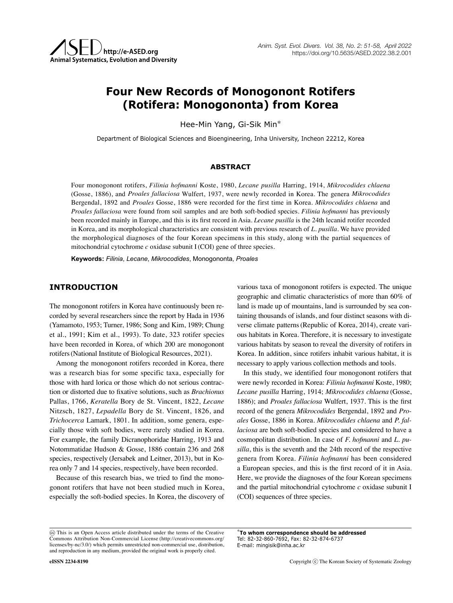# **Four New Records of Monogonont Rotifers (Rotifera: Monogononta) from Korea**

Hee-Min Yang, Gi-Sik Min\*

Department of Biological Sciences and Bioengineering, Inha University, Incheon 22212, Korea

## **ABSTRACT**

Four monogonont rotifers, *Filinia hofmanni* Koste, 1980, *Lecane pusilla* Harring, 1914, *Mikrocodides chlaena* (Gosse, 1886), and *Proales fallaciosa* Wulfert, 1937, were newly recorded in Korea. The genera *Mikrocodides* Bergendal, 1892 and *Proales* Gosse, 1886 were recorded for the first time in Korea. *Mikrocodides chlaena* and *Proales fallaciosa* were found from soil samples and are both soft-bodied species. *Filinia hofmanni* has previously been recorded mainly in Europe, and this is its first record in Asia. *Lecane pusilla* is the 24th lecanid rotifer recorded in Korea, and its morphological characteristics are consistent with previous research of *L. pusilla*. We have provided the morphological diagnoses of the four Korean specimens in this study, along with the partial sequences of mitochondrial cytochrome *c* oxidase subunit I(COI) gene of three species.

**Keywords:** *Filinia*, *Lecane*, *Mikrocodides*, Monogononta, *Proales*

## **INTRODUCTION**

The monogonont rotifers in Korea have continuously been recorded by several researchers since the report by Hada in 1936 (Yamamoto, 1953; Turner, 1986; Song and Kim, 1989; Chung et al., 1991; Kim et al., 1993). To date, 323 rotifer species have been recorded in Korea, of which 200 are monogonont rotifers(National Institute of Biological Resources, 2021).

Among the monogonont rotifers recorded in Korea, there was a research bias for some specific taxa, especially for those with hard lorica or those which do not serious contraction or distorted due to fixative solutions, such as *Brachionus* Pallas, 1766, *Keratella* Bory de St. Vincent, 1822, *Lecane* Nitzsch, 1827, *Lepadella* Bory de St. Vincent, 1826, and *Trichocerca* Lamark, 1801. In addition, some genera, especially those with soft bodies, were rarely studied in Korea. For example, the family Dicranophoridae Harring, 1913 and Notommatidae Hudson & Gosse, 1886 contain 236 and 268 species, respectively (Jersabek and Leitner, 2013), but in Korea only 7 and 14 species, respectively, have been recorded.

Because of this research bias, we tried to find the monogonont rotifers that have not been studied much in Korea, especially the soft-bodied species. In Korea, the discovery of various taxa of monogonont rotifers is expected. The unique geographic and climatic characteristics of more than 60% of land is made up of mountains, land is surrounded by sea containing thousands of islands, and four distinct seasons with diverse climate patterns(Republic of Korea, 2014), create various habitats in Korea. Therefore, it is necessary to investigate various habitats by season to reveal the diversity of rotifers in Korea. In addition, since rotifers inhabit various habitat, it is necessary to apply various collection methods and tools.

In this study, we identified four monogonont rotifers that were newly recorded in Korea: *Filinia hofmanni* Koste, 1980; *Lecane pusilla* Harring, 1914; *Mikrocodides chlaena* (Gosse, 1886); and *Proales fallaciosa* Wulfert, 1937. This is the first record of the genera *Mikrocodides* Bergendal, 1892 and *Proales* Gosse, 1886 in Korea. *Mikrocodides chlaena* and *P. fallaciosa* are both soft-bodied species and considered to have a cosmopolitan distribution. In case of *F. hofmanni* and *L. pusilla*, this is the seventh and the 24th record of the respective genera from Korea. *Filinia hofmanni* has been considered a European species, and this is the first record of it in Asia. Here, we provide the diagnoses of the four Korean specimens and the partial mitochondrial cytochrome *c* oxidase subunit I (COI) sequences of three species.

\***To whom correspondence should be addressed** Tel: 82-32-860-7692, Fax: 82-32-874-6737 E-mail: mingisik@inha.ac.kr

This is an Open Access article distributed under the terms of the Creative Commons Attribution Non-Commercial License (http://creativecommons.org/ licenses/by-nc/3.0/) which permits unrestricted non-commercial use, distribution, and reproduction in any medium, provided the original work is properly cited.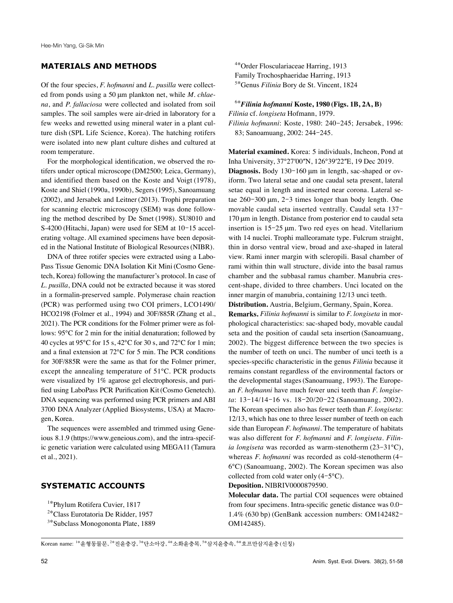# **MATERIALS AND METHODS**

Of the four species, *F. hofmanni* and *L. pusilla* were collected from ponds using a 50 μm plankton net, while *M. chlaena*, and *P. fallaciosa* were collected and isolated from soil samples. The soil samples were air-dried in laboratory for a few weeks and rewetted using mineral water in a plant culture dish (SPL Life Science, Korea). The hatching rotifers were isolated into new plant culture dishes and cultured at room temperature.

For the morphological identification, we observed the rotifers under optical microscope (DM2500; Leica, Germany), and identified them based on the Koste and Voigt (1978), Koste and Shiel(1990a, 1990b), Segers(1995), Sanoamuang (2002), and Jersabek and Leitner (2013). Trophi preparation for scanning electric microscopy (SEM) was done following the method described by De Smet (1998). SU8010 and S-4200 (Hitachi, Japan) were used for SEM at 10-15 accelerating voltage. All examined specimens have been deposited in the National Institute of Biological Resources(NIBR).

DNA of three rotifer species were extracted using a Labo-Pass Tissue Genomic DNA Isolation Kit Mini (Cosmo Genetech, Korea) following the manufacturer's protocol. In case of *L. pusilla*, DNA could not be extracted because it was stored in a formalin-preserved sample. Polymerase chain reaction (PCR) was performed using two COI primers, LCO1490/ HCO2198 (Folmer et al., 1994) and 30F/885R (Zhang et al., 2021). The PCR conditions for the Folmer primer were as follows: 95℃ for 2 min for the initial denaturation; followed by 40 cycles at 95℃ for 15 s, 42℃ for 30 s, and 72℃ for 1 min; and a final extension at 72℃ for 5 min. The PCR conditions for 30F/885R were the same as that for the Folmer primer, except the annealing temperature of 51℃. PCR products were visualized by 1% agarose gel electrophoresis, and purified using LaboPass PCR Purification Kit(Cosmo Genetech). DNA sequencing was performed using PCR primers and ABI 3700 DNA Analyzer (Applied Biosystems, USA) at Macrogen, Korea.

The sequences were assembled and trimmed using Geneious 8.1.9 (https://www.geneious.com), and the intra-specific genetic variation were calculated using MEGA11 (Tamura et al., 2021).

### **SYSTEMATIC ACCOUNTS**

1\*Phylum Rotifera Cuvier, 1817

2\*Class Eurotatoria De Ridder, 1957

3\*Subclass Monogononta Plate, 1889

4\*Order Flosculariaceae Harring, 1913 Family Trochosphaeridae Harring, 1913 5\*Genus *Filinia* Bory de St. Vincent, 1824

6\**Filinia hofmanni* **Koste, 1980 (Figs. 1B, 2A, B)** *Filinia* cf. *longiseta* Hofmann, 1979.

*Filinia hofmanni*: Koste, 1980: 240-245; Jersabek, 1996: 83; Sanoamuang, 2002: 244-245.

**Material examined.** Korea: 5 individuals, Incheon, Pond at Inha University, 37°27′00"N, 126°39′22"E, 19 Dec 2019.

**Diagnosis.** Body 130-160 μm in length, sac-shaped or oviform. Two lateral setae and one caudal seta present, lateral setae equal in length and inserted near corona. Lateral setae 260-300 μm, 2-3 times longer than body length. One movable caudal seta inserted ventrally. Caudal seta 137- 170 μm in length. Distance from posterior end to caudal seta insertion is 15-25 μm. Two red eyes on head. Vitellarium with 14 nuclei. Trophi malleoramate type. Fulcrum straight, thin in dorso ventral view, broad and axe-shaped in lateral view. Rami inner margin with scleropili. Basal chamber of rami within thin wall structure, divide into the basal ramus chamber and the subbasal ramus chamber. Manubria crescent-shape, divided to three chambers. Unci located on the inner margin of manubria, containing 12/13 unci teeth.

**Distribution.** Austria, Belgium, Germany, Spain, Korea.

**Remarks.** *Filinia hofmanni* is similar to *F. longiseta* in morphological characteristics: sac-shaped body, movable caudal seta and the position of caudal seta insertion (Sanoamuang, 2002). The biggest difference between the two species is the number of teeth on unci. The number of unci teeth is a species-specific characteristic in the genus *Filinia* because it remains constant regardless of the environmental factors or the developmental stages(Sanoamuang, 1993). The European *F. hofmanni* have much fewer unci teeth than *F. longiseta*: 13-14/14-16 vs. 18-20/20-22 (Sanoamuang, 2002). The Korean specimen also has fewer teeth than *F. longiseta*: 12/13, which has one to three lesser number of teeth on each side than European *F. hofmanni*. The temperature of habitats was also different for *F. hofmanni* and *F. longiseta*. *Filinia longiseta* was recorded as warm-stenotherm (23-31℃), whereas *F. hofmanni* was recorded as cold-stenotherm (4- 6℃) (Sanoamuang, 2002). The Korean specimen was also collected from cold water only (4-5℃).

**Deposition.** NIBRIV0000879590.

**Molecular data.** The partial COI sequences were obtained from four specimens. Intra-specific genetic distance was 0.0- 1.4% (630 bp) (GenBank accession numbers: OM142482- OM142485).

Korean name: <sup>1\*</sup>윤형동물문, <sup>2\*</sup>진윤충강, <sup>3\*</sup>단소아강, <sup>4\*</sup>소화윤충목, <sup>5\*</sup>삼지윤충속, <sup>6\*</sup>호프만삼지윤충 (신칭)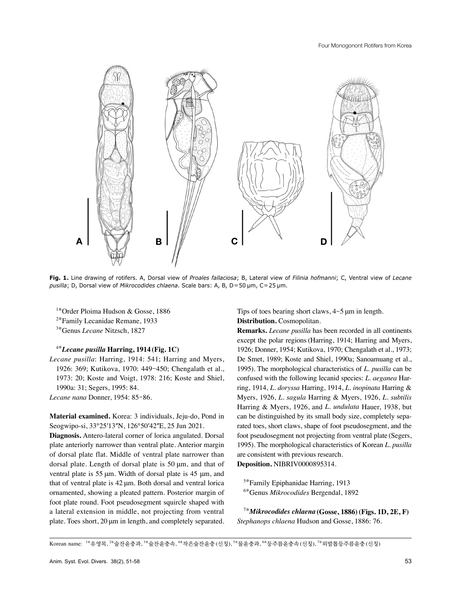

**Fig. 1.** Line drawing of rotifers. A, Dorsal view of *Proales fallaciosa*; B, Lateral view of *Filinia hofmanni*; C, Ventral view of *Lecane pusilla*; D, Dorsal view of *Mikrocodides chlaena*. Scale bars: A, B, D=50 μm, C=25 μm.

1\*Order Ploima Hudson & Gosse, 1886

2\*Family Lecanidae Remane, 1933

3\*Genus *Lecane* Nitzsch, 1827

## 4\**Lecane pusilla* **Harring, 1914 (Fig. 1C)**

*Lecane pusilla*: Harring, 1914: 541; Harring and Myers, 1926: 369; Kutikova, 1970: 449-450; Chengalath et al., 1973: 20; Koste and Voigt, 1978: 216; Koste and Shiel, 1990a: 31; Segers, 1995: 84.

*Lecane nana* Donner, 1954: 85-86.

**Material examined.** Korea: 3 individuals, Jeju-do, Pond in Seogwipo-si, 33°25′13″N, 126°50′42″E, 25 Jun 2021.

**Diagnosis.** Antero-lateral corner of lorica angulated. Dorsal plate anteriorly narrower than ventral plate. Anterior margin of dorsal plate flat. Middle of ventral plate narrower than dorsal plate. Length of dorsal plate is 50 μm, and that of ventral plate is 55 μm. Width of dorsal plate is 45 μm, and that of ventral plate is 42 μm. Both dorsal and ventral lorica ornamented, showing a pleated pattern. Posterior margin of foot plate round. Foot pseudosegment squircle shaped with a lateral extension in middle, not projecting from ventral plate. Toes short, 20 μm in length, and completely separated. Tips of toes bearing short claws, 4-5 μm in length. **Distribution.** Cosmopolitan.

**Remarks.** *Lecane pusilla* has been recorded in all continents except the polar regions (Harring, 1914; Harring and Myers, 1926; Donner, 1954; Kutikova, 1970; Chengalath et al., 1973; De Smet, 1989; Koste and Shiel, 1990a; Sanoamuang et al., 1995). The morphological characteristics of *L. pusilla* can be confused with the following lecanid species: *L. aeganea* Harring, 1914, *L. doryssa* Harring, 1914, *L. inopinata* Harring & Myers, 1926, *L. sagula* Harring & Myers, 1926, *L. subtilis* Harring & Myers, 1926, and *L. undulata* Hauer, 1938, but can be distinguished by its small body size, completely separated toes, short claws, shape of foot pseudosegment, and the foot pseudosegment not projecting from ventral plate (Segers, 1995). The morphological characteristics of Korean *L. pusilla* are consistent with previous research.

**Deposition.** NIBRIV0000895314.

<sup>5\*</sup>Family Epiphanidae Harring, 1913 6\*Genus *Mikrocodides* Bergendal, 1892

7\**Mikrocodides chlaena* **(Gosse, 1886)(Figs. 1D, 2E, F)** *Stephanops chlaena* Hudson and Gosse, 1886: 76.

Korean name: '\*유영목, <sup>2\*</sup>술잔윤충과, <sup>3\*</sup>술잔윤충속, <sup>4\*</sup>작은술잔윤충 (신칭), <sup>5\*</sup>물윤충과, <sup>6\*</sup>등주름훈충속 (신칭), <sup>7\*</sup>외발톱등주름윤충 (신칭)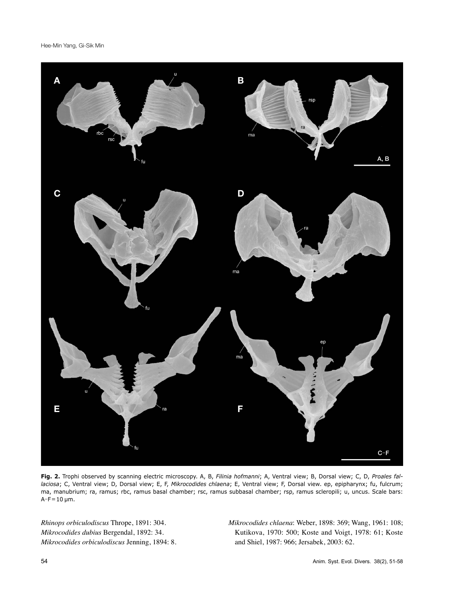Hee-Min Yang, Gi-Sik Min



**Fig. 2.** Trophi observed by scanning electric microscopy. A, B, *Filinia hofmanni*; A, Ventral view; B, Dorsal view; C, D, *Proales fallaciosa*; C, Ventral view; D, Dorsal view; E, F, *Mikrocodides chlaena*; E, Ventral view; F, Dorsal view. ep, epipharynx; fu, fulcrum; ma, manubrium; ra, ramus; rbc, ramus basal chamber; rsc, ramus subbasal chamber; rsp, ramus scleropili; u, uncus. Scale bars:  $A-F=10 \mu m$ .

*Rhinops orbiculodiscus* Thrope, 1891: 304. *Mikrocodides dubius* Bergendal, 1892: 34. *Mikrocodides orbiculodiscus* Jenning, 1894: 8. *Mikrocodides chlaena*: Weber, 1898: 369; Wang, 1961: 108; Kutikova, 1970: 500; Koste and Voigt, 1978: 61; Koste and Shiel, 1987: 966; Jersabek, 2003: 62.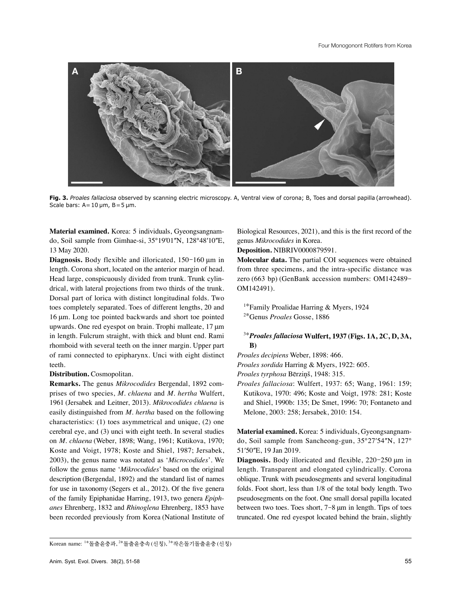

**Fig. 3.** *Proales fallaciosa* observed by scanning electric microscopy. A, Ventral view of corona; B, Toes and dorsal papilla (arrowhead). Scale bars:  $A=10 \mu m$ ,  $B=5 \mu m$ .

**Material examined.** Korea: 5 individuals, Gyeongsangnamdo, Soil sample from Gimhae-si, 35°19′01″N, 128°48′10″E, 13 May 2020.

**Diagnosis.** Body flexible and illoricated, 150-160 μm in length. Corona short, located on the anterior margin of head. Head large, conspicuously divided from trunk. Trunk cylindrical, with lateral projections from two thirds of the trunk. Dorsal part of lorica with distinct longitudinal folds. Two toes completely separated. Toes of different lengths, 20 and 16 μm. Long toe pointed backwards and short toe pointed upwards. One red eyespot on brain. Trophi malleate, 17 μm in length. Fulcrum straight, with thick and blunt end. Rami rhomboid with several teeth on the inner margin. Upper part of rami connected to epipharynx. Unci with eight distinct teeth.

#### **Distribution.** Cosmopolitan.

**Remarks.** The genus *Mikrocodides* Bergendal, 1892 comprises of two species, *M. chlaena* and *M. hertha* Wulfert, 1961 (Jersabek and Leitner, 2013). *Mikrocodides chlaena* is easily distinguished from *M. hertha* based on the following characteristics: (1) toes asymmetrical and unique, (2) one cerebral eye, and (3) unci with eight teeth. In several studies on *M. chlaena* (Weber, 1898; Wang, 1961; Kutikova, 1970; Koste and Voigt, 1978; Koste and Shiel, 1987; Jersabek, 2003), the genus name was notated as '*Microcodides*'. We follow the genus name '*Mikrocodides*' based on the original description (Bergendal, 1892) and the standard list of names for use in taxonomy (Segers et al., 2012). Of the five genera of the family Epiphanidae Harring, 1913, two genera *Epiphanes* Ehrenberg, 1832 and *Rhinoglena* Ehrenberg, 1853 have been recorded previously from Korea (National Institute of Biological Resources, 2021), and this is the first record of the genus *Mikrocodides* in Korea.

#### **Deposition.** NIBRIV0000879591.

**Molecular data.** The partial COI sequences were obtained from three specimens, and the intra-specific distance was zero (663 bp) (GenBank accession numbers: OM142489- OM142491).

<sup>1\*</sup>Family Proalidae Harring & Myers, 1924

2\*Genus *Proales* Gosse, 1886

# 3\**Proales fallaciosa* **Wulfert, 1937 (Figs. 1A, 2C, D, 3A, B)**

*Proales decipiens* Weber, 1898: 466.

*Proales sordida* Harring & Myers, 1922: 605.

*Proales tyrphosa* Bērziņš, 1948: 315.

*Proales fallaciosa*: Wulfert, 1937: 65; Wang, 1961: 159; Kutikova, 1970: 496; Koste and Voigt, 1978: 281; Koste and Shiel, 1990b: 135; De Smet, 1996: 70; Fontaneto and Melone, 2003: 258; Jersabek, 2010: 154.

**Material examined.** Korea: 5 individuals, Gyeongsangnamdo, Soil sample from Sancheong-gun, 35°27ʹ54ʺN, 127° 51'50"E, 19 Jan 2019.

**Diagnosis.** Body illoricated and flexible, 220-250 μm in length. Transparent and elongated cylindrically. Corona oblique. Trunk with pseudosegments and several longitudinal folds. Foot short, less than 1/8 of the total body length. Two pseudosegments on the foot. One small dorsal papilla located between two toes. Toes short, 7-8 μm in length. Tips of toes truncated. One red eyespot located behind the brain, slightly

Korean name: <sup>1\*</sup>돌출윤충과, <sup>2\*</sup>돌출윤충속 (신칭), <sup>3\*</sup>작은돌기돌출윤충 (신칭)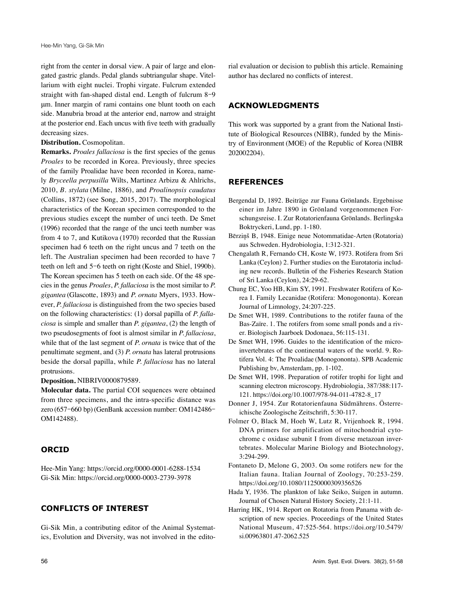right from the center in dorsal view. A pair of large and elongated gastric glands. Pedal glands subtriangular shape. Vitellarium with eight nuclei. Trophi virgate. Fulcrum extended straight with fan-shaped distal end. Length of fulcrum 8-9 μm. Inner margin of rami contains one blunt tooth on each side. Manubria broad at the anterior end, narrow and straight at the posterior end. Each uncus with five teeth with gradually decreasing sizes.

#### **Distribution.** Cosmopolitan.

**Remarks.** *Proales fallaciosa* is the first species of the genus *Proales* to be recorded in Korea. Previously, three species of the family Proalidae have been recorded in Korea, namely *Bryceella perpusilla* Wilts, Martinez Arbizu & Ahlrichs, 2010, *B. stylata* (Milne, 1886), and *Proalinopsis caudatus* (Collins, 1872) (see Song, 2015, 2017). The morphological characteristics of the Korean specimen corresponded to the previous studies except the number of unci teeth. De Smet (1996) recorded that the range of the unci teeth number was from 4 to 7, and Kutikova (1970) recorded that the Russian specimen had 6 teeth on the right uncus and 7 teeth on the left. The Australian specimen had been recorded to have 7 teeth on left and 5-6 teeth on right (Koste and Shiel, 1990b). The Korean specimen has 5 teeth on each side. Of the 48 species in the genus *Proales*, *P. fallaciosa* is the most similar to *P. gigantea* (Glascotte, 1893) and *P. ornata* Myers, 1933. However, *P. fallaciosa* is distinguished from the two species based on the following characteristics: (1) dorsal papilla of *P. fallaciosa* is simple and smaller than *P. gigantea*, (2) the length of two pseudosegments of foot is almost similar in *P. fallaciosa*, while that of the last segment of *P. ornata* is twice that of the penultimate segment, and (3) *P. ornata* has lateral protrusions beside the dorsal papilla, while *P. fallaciosa* has no lateral protrusions.

**Deposition.** NIBRIV0000879589.

**Molecular data.** The partial COI sequences were obtained from three specimens, and the intra-specific distance was zero (657-660 bp)(GenBank accession number: OM142486- OM142488).

# **ORCID**

Hee-Min Yang: https://orcid.org/0000-0001-6288-1534 Gi-Sik Min: https://orcid.org/0000-0003-2739-3978

## **CONFLICTS OF INTEREST**

Gi-Sik Min, a contributing editor of the Animal Systematics, Evolution and Diversity, was not involved in the edito-

rial evaluation or decision to publish this article. Remaining author has declared no conflicts of interest.

# **ACKNOWLEDGMENTS**

This work was supported by a grant from the National Institute of Biological Resources (NIBR), funded by the Ministry of Environment (MOE) of the Republic of Korea (NIBR 202002204).

## **REFERENCES**

- Bergendal D, 1892. Beiträge zur Fauna Grönlands. Ergebnisse einer im Jahre 1890 in Grönland vorgenommenen Forschungsreise. I. Zur Rotatorienfauna Grönlands. Berlingska Boktryckeri, Lund, pp. 1-180.
- Bērziņš B, 1948. Einige neue Notommatidae-Arten (Rotatoria) aus Schweden. Hydrobiologia, 1:312-321.
- Chengalath R, Fernando CH, Koste W, 1973. Rotifera from Sri Lanka (Ceylon) 2. Further studies on the Eurotatoria including new records. Bulletin of the Fisheries Research Station of Sri Lanka (Ceylon), 24:29-62.
- Chung EC, Yoo HB, Kim SY, 1991. Freshwater Rotifera of Korea I. Family Lecanidae (Rotifera: Monogononta). Korean Journal of Limnology, 24:207-225.
- De Smet WH, 1989. Contributions to the rotifer fauna of the Bas-Zaïre. 1. The rotifers from some small ponds and a river. Biologisch Jaarboek Dodonaea, 56:115-131.
- De Smet WH, 1996. Guides to the identification of the microinvertebrates of the continental waters of the world. 9. Rotifera Vol. 4: The Proalidae (Monogononta). SPB Academic Publishing bv, Amsterdam, pp. 1-102.
- De Smet WH, 1998. Preparation of rotifer trophi for light and scanning electron microscopy. Hydrobiologia, 387/388:117- 121. https://doi.org/10.1007/978-94-011-4782-8\_17
- Donner J, 1954. Zur Rotatorienfauna Südmährens. Österreichische Zoologische Zeitschrift, 5:30-117.
- Folmer O, Black M, Hoeh W, Lutz R, Vrijenhoek R, 1994. DNA primers for amplification of mitochondrial cytochrome c oxidase subunit I from diverse metazoan invertebrates. Molecular Marine Biology and Biotechnology, 3:294-299.
- Fontaneto D, Melone G, 2003. On some rotifers new for the Italian fauna. Italian Journal of Zoology, 70:253-259. https://doi.org/10.1080/11250000309356526
- Hada Y, 1936. The plankton of lake Seiko, Suigen in autumn. Journal of Chosen Natural History Society, 21:1-11.
- Harring HK, 1914. Report on Rotatoria from Panama with description of new species. Proceedings of the United States National Museum, 47:525-564. https://doi.org/10.5479/ si.00963801.47-2062.525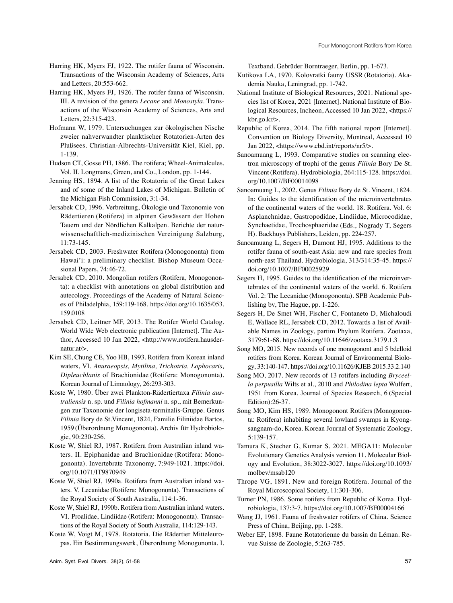- Harring HK, Myers FJ, 1922. The rotifer fauna of Wisconsin. Transactions of the Wisconsin Academy of Sciences, Arts and Letters, 20:553-662.
- Harring HK, Myers FJ, 1926. The rotifer fauna of Wisconsin. III. A revision of the genera *Lecane* and *Monostyla*. Transactions of the Wisconsin Academy of Sciences, Arts and Letters, 22:315-423.
- Hofmann W, 1979. Untersuchungen zur ökologischen Nische zweier nahverwandter planktischer Rotatorien-Arten des Plußsees. Christian-Albrechts-Universität Kiel, Kiel, pp. 1-139.
- Hudson CT, Gosse PH, 1886. The rotifera; Wheel-Animalcules. Vol. II. Longmans, Green, and Co., London, pp. 1-144.
- Jenning HS, 1894. A list of the Rotatoria of the Great Lakes and of some of the Inland Lakes of Michigan. Bulletin of the Michigan Fish Commission, 3:1-34.
- Jersabek CD, 1996. Verbreitung, Ökologie und Taxonomie von Rädertieren (Rotifera) in alpinen Gewässern der Hohen Tauern und der Nördlichen Kalkalpen. Berichte der naturwissenschaftlich-medizinischen Vereinigung Salzburg, 11:73-145.
- Jersabek CD, 2003. Freshwater Rotifera (Monogononta) from Hawai'i: a preliminary checklist. Bishop Museum Occasional Papers, 74:46-72.
- Jersabek CD, 2010. Mongolian rotifers (Rotifera, Monogononta): a checklist with annotations on global distribution and autecology. Proceedings of the Academy of Natural Sciences of Philadelphia, 159:119-168. [https://doi.org/10.1635/053.](https://doi.org/10.1635/053.159.0108) [159.0108](https://doi.org/10.1635/053.159.0108)
- Jersabek CD, Leitner MF, 2013. The Rotifer World Catalog. World Wide Web electronic publication [Internet]. The Author, Accessed 10 Jan 2022, <http://www.rotifera.hausdernatur.at/>.
- Kim SE, Chung CE, Yoo HB, 1993. Rotifera from Korean inland waters, VI. *Anuraeopsis, Mytilina, Trichotria, Lophocaris, Dipleuchlanis* of Brachionidae (Rotifera: Monogononta). Korean Journal of Limnology, 26:293-303.
- Koste W, 1980. Über zwei Plankton-Rädertiertaxa *Filinia australiensis* n. sp. und *Filinia hofmanni* n. sp., mit Bemerkungen zur Taxonomie der longiseta-terminalis-Gruppe. Genus *Filinia* Bory de St.Vincent, 1824, Familie Filiniidae Bartos, 1959 (Überordnung Monogononta). Archiv für Hydrobiologie, 90:230-256.
- Koste W, Shiel RJ, 1987. Rotifera from Australian inland waters. II. Epiphanidae and Brachionidae (Rotifera: Monogononta). Invertebrate Taxonomy, 7:949-1021. https://doi. org/10.1071/IT9870949
- Koste W, Shiel RJ, 1990a. Rotifera from Australian inland waters. V. Lecanidae (Rotifera: Monogononta). Transactions of the Royal Society of South Australia, 114:1-36.
- Koste W, Shiel RJ, 1990b. Rotifera from Australian inland waters. VI. Proalidae, Lindiidae (Rotifera: Monogononta). Transactions of the Royal Society of South Australia, 114:129-143.
- Koste W, Voigt M, 1978. Rotatoria. Die Rädertier Mitteleuropas. Ein Bestimmungswerk, Überordnung Monogononta. I.

Textband. Gebrüder Borntraeger, Berlin, pp. 1-673.

- Kutikova LA, 1970. Kolovratki fauny USSR (Rotatoria). Akademia Nauka, Leningrad, pp. 1-742.
- National Institute of Biological Resources, 2021. National species list of Korea, 2021 [Internet]. National Institute of Biological Resources, Incheon, Accessed 10 Jan 2022, <https:// kbr.go.kr/>.
- Republic of Korea, 2014. The fifth national report [Internet]. Convention on Biology Diversity, Montreal, Accessed 10 Jan 2022, <https://www.cbd.int/reports/nr5/>.
- Sanoamuang L, 1993. Comparative studies on scanning electron microscopy of trophi of the genus *Filinia* Bory De St. Vincent(Rotifera). Hydrobiologia, 264:115-128. https://doi. org/10.1007/BF00014098
- Sanoamuang L, 2002. Genus *Filinia* Bory de St. Vincent, 1824. In: Guides to the identification of the microinvertebrates of the continental waters of the world. 18. Rotifera. Vol. 6: Asplanchnidae, Gastropodidae, Lindiidae, Microcodidae, Synchaetidae, Trochosphaeridae (Eds., Nogrady T, Segers H). Backhuys Publishers, Leiden, pp. 224-257.
- Sanoamuang L, Segers H, Dumont HJ, 1995. Additions to the rotifer fauna of south-east Asia: new and rare species from north-east Thailand. Hydrobiologia, 313/314:35-45. https:// doi.org/10.1007/BF00025929
- Segers H, 1995. Guides to the identification of the microinvertebrates of the continental waters of the world. 6. Rotifera Vol. 2: The Lecanidae (Monogononta). SPB Academic Publishing bv, The Hague, pp. 1-226.
- Segers H, De Smet WH, Fischer C, Fontaneto D, Michaloudi E, Wallace RL, Jersabek CD, 2012. Towards a list of Available Names in Zoology, partim Phylum Rotifera. Zootaxa, 3179:61-68. https://doi.org/10.11646/zootaxa.3179.1.3
- Song MO, 2015. New records of one monogonont and 5 bdelloid rotifers from Korea. Korean Journal of Environmental Biology, 33:140-147. https://doi.org/10.11626/KJEB.2015.33.2.140
- Song MO, 2017. New records of 13 rotifers including *Bryceella perpusilla* Wilts et al., 2010 and *Philodina lepta* Wulfert, 1951 from Korea. Journal of Species Research, 6 (Special Edition):26-37.
- Song MO, Kim HS, 1989. Monogonont Rotifers (Monogononta: Rotifera) inhabiting several lowland swamps in Kyongsangnam-do, Korea. Korean Journal of Systematic Zoology, 5:139-157.
- Tamura K, Stecher G, Kumar S, 2021. MEGA11: Molecular Evolutionary Genetics Analysis version 11. Molecular Biology and Evolution, 38:3022-3027. https://doi.org/10.1093/ molbev/msab120
- Thrope VG, 1891. New and foreign Rotifera. Journal of the Royal Microscopical Society, 11:301-306.
- Turner PN, 1986. Some rotifers from Republic of Korea. Hydrobiologia, 137:3-7. https://doi.org/10.1007/BF00004166
- Wang JJ, 1961. Fauna of freshwater rotifers of China. Science Press of China, Beijing, pp. 1-288.
- Weber EF, 1898. Faune Rotatorienne du bassin du Léman. Revue Suisse de Zoologie, 5:263-785.